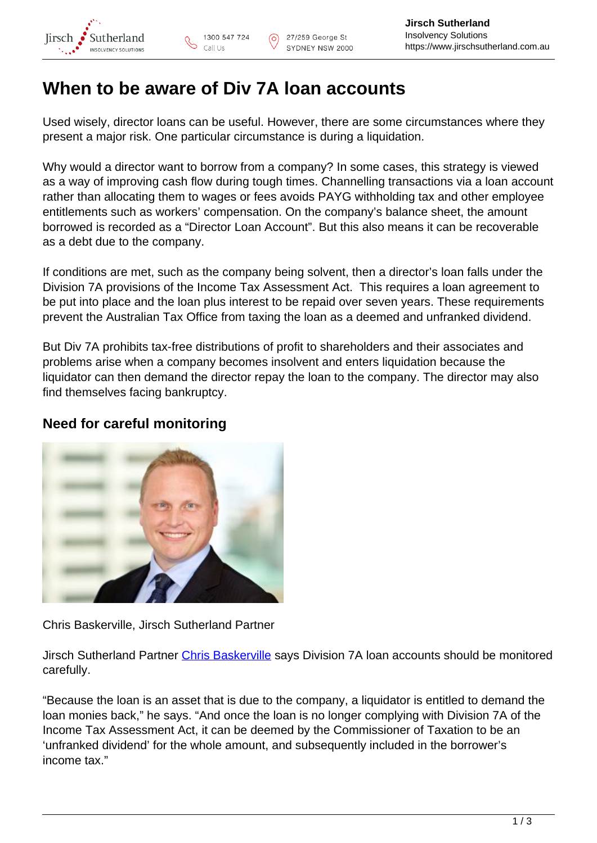

## **When to be aware of Div 7A loan accounts**

Used wisely, director loans can be useful. However, there are some circumstances where they present a major risk. One particular circumstance is during a liquidation.

Why would a director want to borrow from a company? In some cases, this strategy is viewed as a way of improving cash flow during tough times. Channelling transactions via a loan account rather than allocating them to wages or fees avoids PAYG withholding tax and other employee entitlements such as workers' compensation. On the company's balance sheet, the amount borrowed is recorded as a "Director Loan Account". But this also means it can be recoverable as a debt due to the company.

If conditions are met, such as the company being solvent, then a director's loan falls under the Division 7A provisions of the Income Tax Assessment Act. This requires a loan agreement to be put into place and the loan plus interest to be repaid over seven years. These requirements prevent the Australian Tax Office from taxing the loan as a deemed and unfranked dividend.

But Div 7A prohibits tax-free distributions of profit to shareholders and their associates and problems arise when a company becomes insolvent and enters liquidation because the liquidator can then demand the director repay the loan to the company. The director may also find themselves facing bankruptcy.

## **Need for careful monitoring**



Chris Baskerville, Jirsch Sutherland Partner

Jirsch Sutherland Partner [Chris Baskerville](https://www.jirschsutherland.com.au/people/chris-baskerville/) says Division 7A loan accounts should be monitored carefully.

"Because the loan is an asset that is due to the company, a liquidator is entitled to demand the loan monies back," he says. "And once the loan is no longer complying with Division 7A of the Income Tax Assessment Act, it can be deemed by the Commissioner of Taxation to be an 'unfranked dividend' for the whole amount, and subsequently included in the borrower's income tax."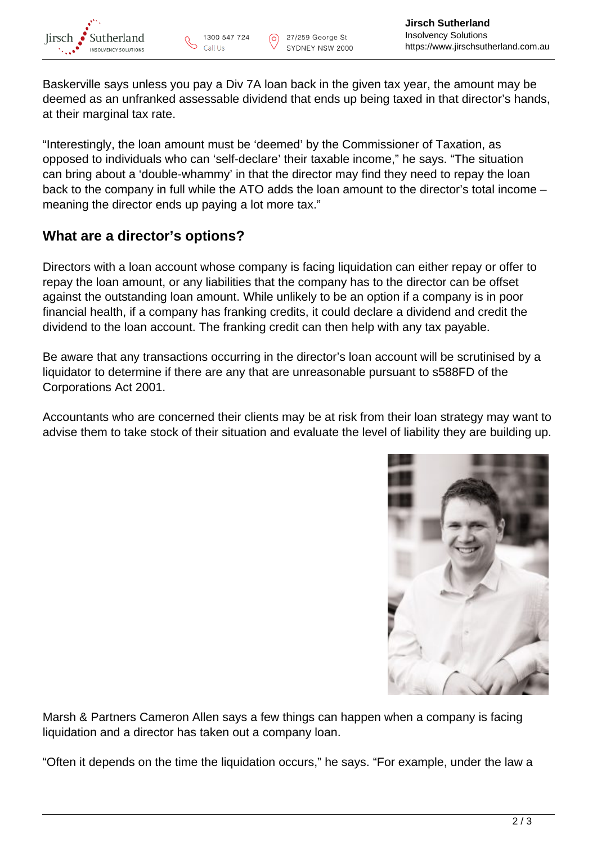Baskerville says unless you pay a Div 7A loan back in the given tax year, the amount may be deemed as an unfranked assessable dividend that ends up being taxed in that director's hands, at their marginal tax rate.

"Interestingly, the loan amount must be 'deemed' by the Commissioner of Taxation, as opposed to individuals who can 'self-declare' their taxable income," he says. "The situation can bring about a 'double-whammy' in that the director may find they need to repay the loan back to the company in full while the ATO adds the loan amount to the director's total income – meaning the director ends up paying a lot more tax."

## **What are a director's options?**

Directors with a loan account whose company is facing liquidation can either repay or offer to repay the loan amount, or any liabilities that the company has to the director can be offset against the outstanding loan amount. While unlikely to be an option if a company is in poor financial health, if a company has franking credits, it could declare a dividend and credit the dividend to the loan account. The franking credit can then help with any tax payable.

Be aware that any transactions occurring in the director's loan account will be scrutinised by a liquidator to determine if there are any that are unreasonable pursuant to s588FD of the Corporations Act 2001.

Accountants who are concerned their clients may be at risk from their loan strategy may want to advise them to take stock of their situation and evaluate the level of liability they are building up.



Marsh & Partners Cameron Allen says a few things can happen when a company is facing liquidation and a director has taken out a company loan.

"Often it depends on the time the liquidation occurs," he says. "For example, under the law a